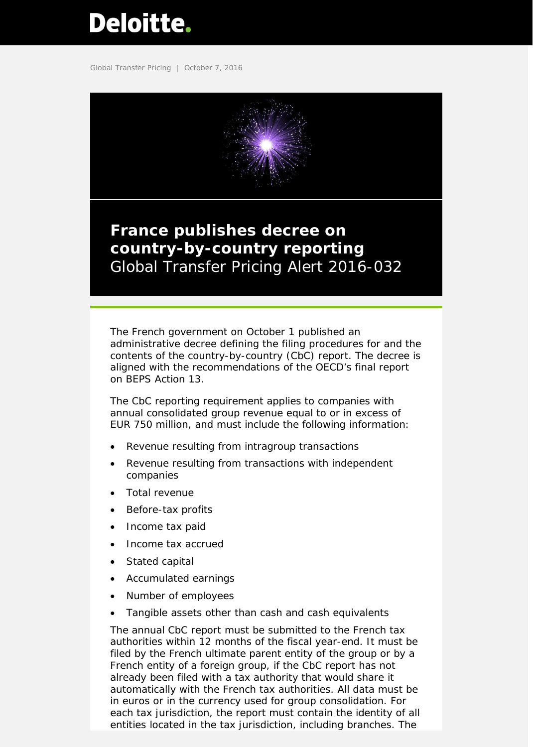# <span id="page-0-0"></span>Deloitte.

Global Transfer Pricing | October 7, 2016



# **France publishes decree on country-by-country reporting** Global Transfer Pricing Alert 2016-032

The French government on October 1 published an administrative decree defining the filing procedures for and the contents of the country-by-country (CbC) report. The decree is aligned with the recommendations of the OECD's final report on BEPS Action 13.

The CbC reporting requirement applies to companies with annual consolidated group revenue equal to or in excess of EUR 750 million, and must include the following information:

- Revenue resulting from intragroup transactions
- Revenue resulting from transactions with independent companies
- Total revenue
- Before-tax profits
- Income tax paid
- Income tax accrued
- Stated capital
- Accumulated earnings
- Number of employees
- Tangible assets other than cash and cash equivalents

The annual CbC report must be submitted to the French tax authorities within 12 months of the fiscal year-end. It must be filed by the French ultimate parent entity of the group or by a French entity of a foreign group, if the CbC report has not already been filed with a tax authority that would share it automatically with the French tax authorities. All data must be in euros or in the currency used for group consolidation. For each tax jurisdiction, the report must contain the identity of all entities located in the tax jurisdiction, including branches. The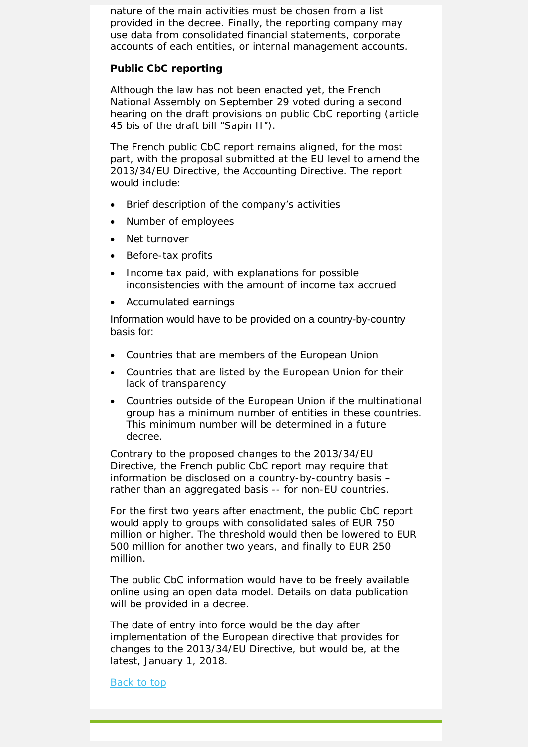nature of the main activities must be chosen from a list provided in the decree. Finally, the reporting company may use data from consolidated financial statements, corporate accounts of each entities, or internal management accounts.

### **Public CbC reporting**

Although the law has not been enacted yet, the French National Assembly on September 29 voted during a second hearing on the draft provisions on public CbC reporting (article 45 *bis* of the draft bill "Sapin II").

The French public CbC report remains aligned, for the most part, with the proposal submitted at the EU level to amend the 2013/34/EU Directive, the Accounting Directive. The report would include:

- Brief description of the company's activities
- Number of employees
- Net turnover
- Before-tax profits
- Income tax paid, with explanations for possible inconsistencies with the amount of income tax accrued
- Accumulated earnings

Information would have to be provided on a country-by-country basis for:

- Countries that are members of the European Union
- Countries that are listed by the European Union for their lack of transparency
- Countries outside of the European Union if the multinational group has a minimum number of entities in these countries. This minimum number will be determined in a future decree.

Contrary to the proposed changes to the 2013/34/EU Directive, the French public CbC report may require that information be disclosed on a country-by-country basis – rather than an aggregated basis -- for non-EU countries.

For the first two years after enactment, the public CbC report would apply to groups with consolidated sales of EUR 750 million or higher. The threshold would then be lowered to EUR 500 million for another two years, and finally to EUR 250 million.

The public CbC information would have to be freely available online using an open data model. Details on data publication will be provided in a decree.

The date of entry into force would be the day after implementation of the European directive that provides for changes to the 2013/34/EU Directive, but would be, at the latest, January 1, 2018.

#### Back to top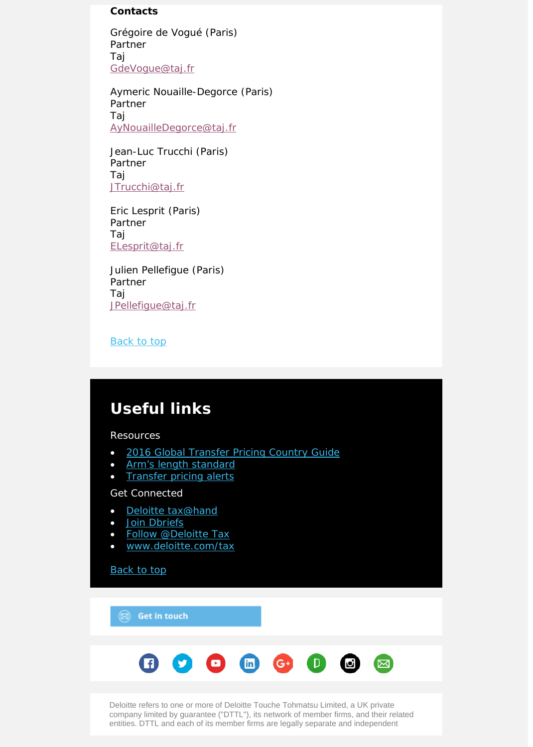## **Contacts**

Grégoire de Vogué (Paris) Partner Taj [GdeVogue@taj.fr](mailto:GdeVogue@taj.fr)

Aymeric Nouaille-Degorce (Paris) Partner Taj [AyNouailleDegorce@taj.fr](mailto:AyNouailleDegorce@taj.fr)

Jean-Luc Trucchi (Paris) Partner Taj [JTrucchi@taj.fr](mailto:JTrucchi@taj.fr)

Eric Lesprit (Paris) Partner Taj [ELesprit@taj.fr](mailto:ELesprit@taj.fr)

Julien Pellefigue (Paris) Partner Taj [JPellefigue@taj.fr](mailto:JPellefigue@taj.fr)

Back to top

# **Useful links**

Resources

- [2016 Global Transfer Pricing Country Guide](https://www2.deloitte.com/us/en/pages/tax/articles/global-transfer-pricing-country-guide.html)
- [Arm's length standard](http://www2.deloitte.com/global/en/pages/tax/articles/arms-length-standard.html)
- [Transfer pricing alerts](http://www2.deloitte.com/global/en/pages/tax/articles/global-transfer-pricing-alerts.html)

## Get Connected

- [Deloitte tax@hand](http://www2.deloitte.com/us/en/pages/tax/articles/deloitte-tax-at-hand-mobile-app.html)
- [Join Dbriefs](https://www2.deloitte.com/global/en/pages/about-deloitte/articles/dbriefs-webcasts.html)
- [Follow @Deloitte Tax](http://www.twitter.com/deloittetax)
- [www.deloitte.com/tax](http://www.deloitte.com/tax)

**[Back to top](#page-0-0)** 

 $\circledR$  Get in touch

| 60066000 |  |  |  |  |  |  |  |  |
|----------|--|--|--|--|--|--|--|--|
|----------|--|--|--|--|--|--|--|--|

Deloitte refers to one or more of Deloitte Touche Tohmatsu Limited, a UK private company limited by guarantee ("DTTL"), its network of member firms, and their related entities. DTTL and each of its member firms are legally separate and independent